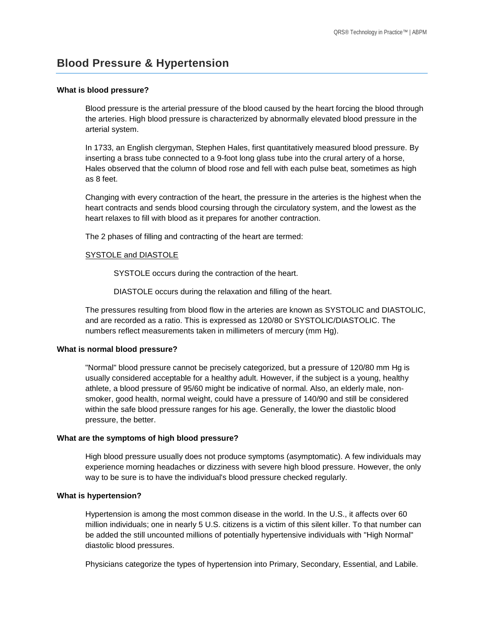# **Blood Pressure & Hypertension**

#### **What is blood pressure?**

Blood pressure is the arterial pressure of the blood caused by the heart forcing the blood through the arteries. High blood pressure is characterized by abnormally elevated blood pressure in the arterial system.

In 1733, an English clergyman, Stephen Hales, first quantitatively measured blood pressure. By inserting a brass tube connected to a 9-foot long glass tube into the crural artery of a horse, Hales observed that the column of blood rose and fell with each pulse beat, sometimes as high as 8 feet.

Changing with every contraction of the heart, the pressure in the arteries is the highest when the heart contracts and sends blood coursing through the circulatory system, and the lowest as the heart relaxes to fill with blood as it prepares for another contraction.

The 2 phases of filling and contracting of the heart are termed:

#### SYSTOLE and DIASTOLE

SYSTOLE occurs during the contraction of the heart.

DIASTOLE occurs during the relaxation and filling of the heart.

The pressures resulting from blood flow in the arteries are known as SYSTOLIC and DIASTOLIC, and are recorded as a ratio. This is expressed as 120/80 or SYSTOLIC/DIASTOLIC. The numbers reflect measurements taken in millimeters of mercury (mm Hg).

#### **What is normal blood pressure?**

"Normal" blood pressure cannot be precisely categorized, but a pressure of 120/80 mm Hg is usually considered acceptable for a healthy adult. However, if the subject is a young, healthy athlete, a blood pressure of 95/60 might be indicative of normal. Also, an elderly male, nonsmoker, good health, normal weight, could have a pressure of 140/90 and still be considered within the safe blood pressure ranges for his age. Generally, the lower the diastolic blood pressure, the better.

#### **What are the symptoms of high blood pressure?**

High blood pressure usually does not produce symptoms (asymptomatic). A few individuals may experience morning headaches or dizziness with severe high blood pressure. However, the only way to be sure is to have the individual's blood pressure checked regularly.

#### **What is hypertension?**

Hypertension is among the most common disease in the world. In the U.S., it affects over 60 million individuals; one in nearly 5 U.S. citizens is a victim of this silent killer. To that number can be added the still uncounted millions of potentially hypertensive individuals with "High Normal" diastolic blood pressures.

Physicians categorize the types of hypertension into Primary, Secondary, Essential, and Labile.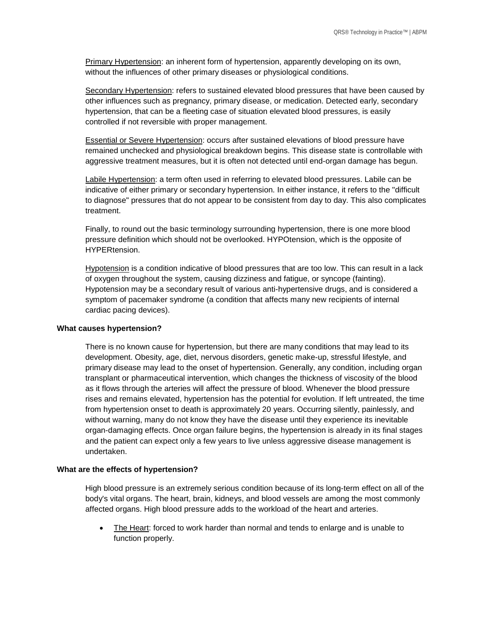Primary Hypertension: an inherent form of hypertension, apparently developing on its own, without the influences of other primary diseases or physiological conditions.

Secondary Hypertension: refers to sustained elevated blood pressures that have been caused by other influences such as pregnancy, primary disease, or medication. Detected early, secondary hypertension, that can be a fleeting case of situation elevated blood pressures, is easily controlled if not reversible with proper management.

Essential or Severe Hypertension: occurs after sustained elevations of blood pressure have remained unchecked and physiological breakdown begins. This disease state is controllable with aggressive treatment measures, but it is often not detected until end-organ damage has begun.

Labile Hypertension: a term often used in referring to elevated blood pressures. Labile can be indicative of either primary or secondary hypertension. In either instance, it refers to the "difficult to diagnose" pressures that do not appear to be consistent from day to day. This also complicates treatment.

Finally, to round out the basic terminology surrounding hypertension, there is one more blood pressure definition which should not be overlooked. HYPOtension, which is the opposite of HYPERtension.

Hypotension is a condition indicative of blood pressures that are too low. This can result in a lack of oxygen throughout the system, causing dizziness and fatigue, or syncope (fainting). Hypotension may be a secondary result of various anti-hypertensive drugs, and is considered a symptom of pacemaker syndrome (a condition that affects many new recipients of internal cardiac pacing devices).

#### **What causes hypertension?**

There is no known cause for hypertension, but there are many conditions that may lead to its development. Obesity, age, diet, nervous disorders, genetic make-up, stressful lifestyle, and primary disease may lead to the onset of hypertension. Generally, any condition, including organ transplant or pharmaceutical intervention, which changes the thickness of viscosity of the blood as it flows through the arteries will affect the pressure of blood. Whenever the blood pressure rises and remains elevated, hypertension has the potential for evolution. If left untreated, the time from hypertension onset to death is approximately 20 years. Occurring silently, painlessly, and without warning, many do not know they have the disease until they experience its inevitable organ-damaging effects. Once organ failure begins, the hypertension is already in its final stages and the patient can expect only a few years to live unless aggressive disease management is undertaken.

#### **What are the effects of hypertension?**

High blood pressure is an extremely serious condition because of its long-term effect on all of the body's vital organs. The heart, brain, kidneys, and blood vessels are among the most commonly affected organs. High blood pressure adds to the workload of the heart and arteries.

• The Heart: forced to work harder than normal and tends to enlarge and is unable to function properly.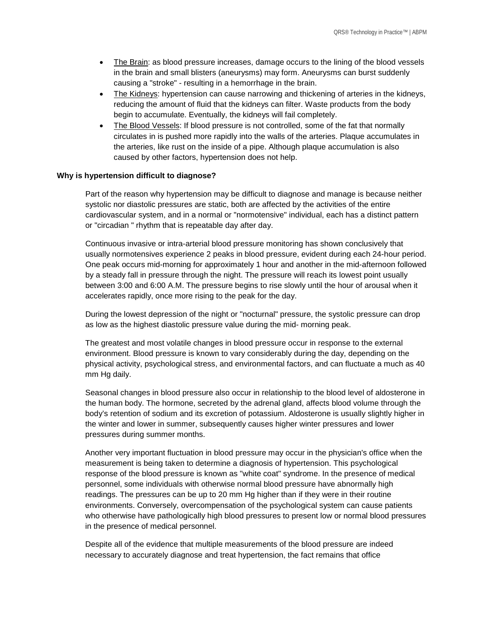- The Brain: as blood pressure increases, damage occurs to the lining of the blood vessels in the brain and small blisters (aneurysms) may form. Aneurysms can burst suddenly causing a "stroke" - resulting in a hemorrhage in the brain.
- The Kidneys: hypertension can cause narrowing and thickening of arteries in the kidneys, reducing the amount of fluid that the kidneys can filter. Waste products from the body begin to accumulate. Eventually, the kidneys will fail completely.
- The Blood Vessels: If blood pressure is not controlled, some of the fat that normally circulates in is pushed more rapidly into the walls of the arteries. Plaque accumulates in the arteries, like rust on the inside of a pipe. Although plaque accumulation is also caused by other factors, hypertension does not help.

#### **Why is hypertension difficult to diagnose?**

Part of the reason why hypertension may be difficult to diagnose and manage is because neither systolic nor diastolic pressures are static, both are affected by the activities of the entire cardiovascular system, and in a normal or "normotensive" individual, each has a distinct pattern or "circadian " rhythm that is repeatable day after day.

Continuous invasive or intra-arterial blood pressure monitoring has shown conclusively that usually normotensives experience 2 peaks in blood pressure, evident during each 24-hour period. One peak occurs mid-morning for approximately 1 hour and another in the mid-afternoon followed by a steady fall in pressure through the night. The pressure will reach its lowest point usually between 3:00 and 6:00 A.M. The pressure begins to rise slowly until the hour of arousal when it accelerates rapidly, once more rising to the peak for the day.

During the lowest depression of the night or "nocturnal" pressure, the systolic pressure can drop as low as the highest diastolic pressure value during the mid- morning peak.

The greatest and most volatile changes in blood pressure occur in response to the external environment. Blood pressure is known to vary considerably during the day, depending on the physical activity, psychological stress, and environmental factors, and can fluctuate a much as 40 mm Hg daily.

Seasonal changes in blood pressure also occur in relationship to the blood level of aldosterone in the human body. The hormone, secreted by the adrenal gland, affects blood volume through the body's retention of sodium and its excretion of potassium. Aldosterone is usually slightly higher in the winter and lower in summer, subsequently causes higher winter pressures and lower pressures during summer months.

Another very important fluctuation in blood pressure may occur in the physician's office when the measurement is being taken to determine a diagnosis of hypertension. This psychological response of the blood pressure is known as "white coat" syndrome. In the presence of medical personnel, some individuals with otherwise normal blood pressure have abnormally high readings. The pressures can be up to 20 mm Hg higher than if they were in their routine environments. Conversely, overcompensation of the psychological system can cause patients who otherwise have pathologically high blood pressures to present low or normal blood pressures in the presence of medical personnel.

Despite all of the evidence that multiple measurements of the blood pressure are indeed necessary to accurately diagnose and treat hypertension, the fact remains that office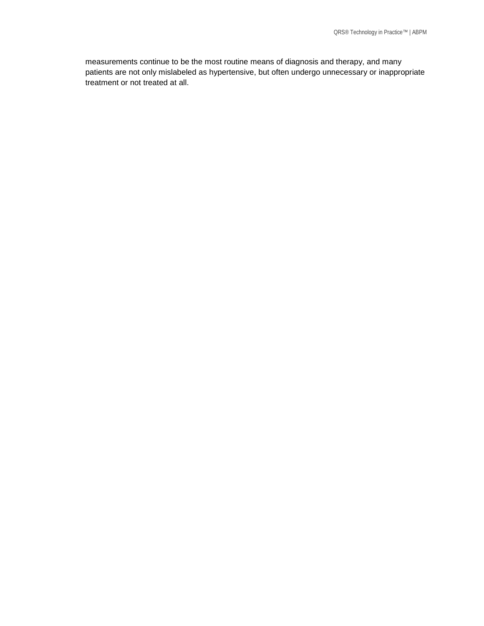measurements continue to be the most routine means of diagnosis and therapy, and many patients are not only mislabeled as hypertensive, but often undergo unnecessary or inappropriate treatment or not treated at all.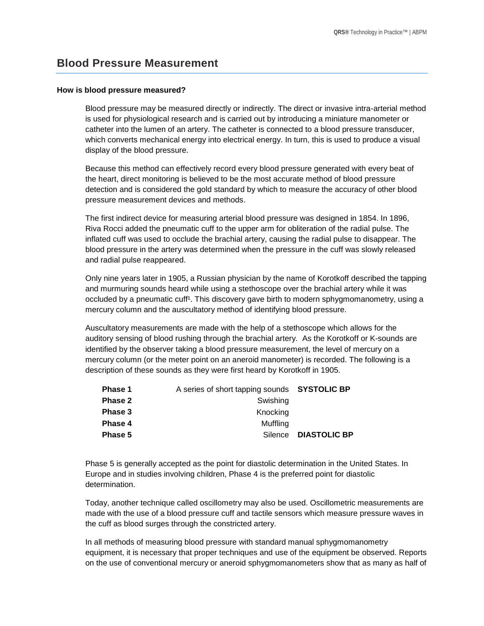## **Blood Pressure Measurement**

#### **How is blood pressure measured?**

Blood pressure may be measured directly or indirectly. The direct or invasive intra-arterial method is used for physiological research and is carried out by introducing a miniature manometer or catheter into the lumen of an artery. The catheter is connected to a blood pressure transducer, which converts mechanical energy into electrical energy. In turn, this is used to produce a visual display of the blood pressure.

Because this method can effectively record every blood pressure generated with every beat of the heart, direct monitoring is believed to be the most accurate method of blood pressure detection and is considered the gold standard by which to measure the accuracy of other blood pressure measurement devices and methods.

The first indirect device for measuring arterial blood pressure was designed in 1854. In 1896, Riva Rocci added the pneumatic cuff to the upper arm for obliteration of the radial pulse. The inflated cuff was used to occlude the brachial artery, causing the radial pulse to disappear. The blood pressure in the artery was determined when the pressure in the cuff was slowly released and radial pulse reappeared.

Only nine years later in 1905, a Russian physician by the name of Korotkoff described the tapping and murmuring sounds heard while using a stethoscope over the brachial artery while it was occluded by a pneumatic cuff<sup>1</sup>. This discovery gave birth to modern sphygmomanometry, using a mercury column and the auscultatory method of identifying blood pressure.

Auscultatory measurements are made with the help of a stethoscope which allows for the auditory sensing of blood rushing through the brachial artery. As the Korotkoff or K-sounds are identified by the observer taking a blood pressure measurement, the level of mercury on a mercury column (or the meter point on an aneroid manometer) is recorded. The following is a description of these sounds as they were first heard by Korotkoff in 1905.

| <b>Phase 1</b> | A series of short tapping sounds SYSTOLIC BP |                     |
|----------------|----------------------------------------------|---------------------|
| <b>Phase 2</b> | Swishing                                     |                     |
| Phase 3        | Knocking                                     |                     |
| Phase 4        | Muffling                                     |                     |
| Phase 5        | Silence                                      | <b>DIASTOLIC BP</b> |

Phase 5 is generally accepted as the point for diastolic determination in the United States. In Europe and in studies involving children, Phase 4 is the preferred point for diastolic determination.

Today, another technique called oscillometry may also be used. Oscillometric measurements are made with the use of a blood pressure cuff and tactile sensors which measure pressure waves in the cuff as blood surges through the constricted artery.

In all methods of measuring blood pressure with standard manual sphygmomanometry equipment, it is necessary that proper techniques and use of the equipment be observed. Reports on the use of conventional mercury or aneroid sphygmomanometers show that as many as half of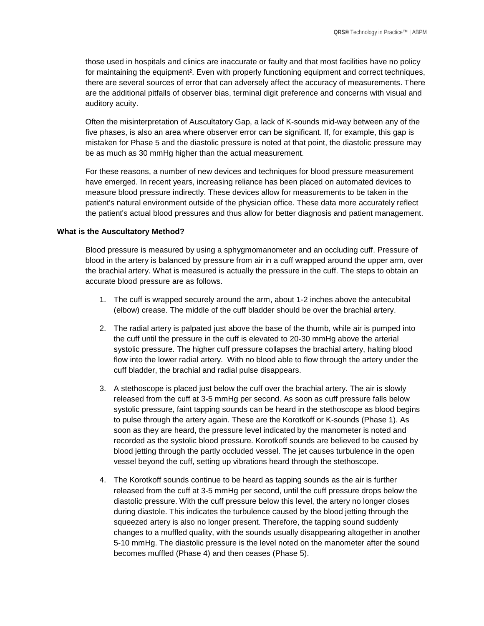those used in hospitals and clinics are inaccurate or faulty and that most facilities have no policy for maintaining the equipment<sup>2</sup>. Even with properly functioning equipment and correct techniques, there are several sources of error that can adversely affect the accuracy of measurements. There are the additional pitfalls of observer bias, terminal digit preference and concerns with visual and auditory acuity.

Often the misinterpretation of Auscultatory Gap, a lack of K-sounds mid-way between any of the five phases, is also an area where observer error can be significant. If, for example, this gap is mistaken for Phase 5 and the diastolic pressure is noted at that point, the diastolic pressure may be as much as 30 mmHg higher than the actual measurement.

For these reasons, a number of new devices and techniques for blood pressure measurement have emerged. In recent years, increasing reliance has been placed on automated devices to measure blood pressure indirectly. These devices allow for measurements to be taken in the patient's natural environment outside of the physician office. These data more accurately reflect the patient's actual blood pressures and thus allow for better diagnosis and patient management.

#### **What is the Auscultatory Method?**

Blood pressure is measured by using a sphygmomanometer and an occluding cuff. Pressure of blood in the artery is balanced by pressure from air in a cuff wrapped around the upper arm, over the brachial artery. What is measured is actually the pressure in the cuff. The steps to obtain an accurate blood pressure are as follows.

- 1. The cuff is wrapped securely around the arm, about 1-2 inches above the antecubital (elbow) crease. The middle of the cuff bladder should be over the brachial artery.
- 2. The radial artery is palpated just above the base of the thumb, while air is pumped into the cuff until the pressure in the cuff is elevated to 20-30 mmHg above the arterial systolic pressure. The higher cuff pressure collapses the brachial artery, halting blood flow into the lower radial artery. With no blood able to flow through the artery under the cuff bladder, the brachial and radial pulse disappears.
- 3. A stethoscope is placed just below the cuff over the brachial artery. The air is slowly released from the cuff at 3-5 mmHg per second. As soon as cuff pressure falls below systolic pressure, faint tapping sounds can be heard in the stethoscope as blood begins to pulse through the artery again. These are the Korotkoff or K-sounds (Phase 1). As soon as they are heard, the pressure level indicated by the manometer is noted and recorded as the systolic blood pressure. Korotkoff sounds are believed to be caused by blood jetting through the partly occluded vessel. The jet causes turbulence in the open vessel beyond the cuff, setting up vibrations heard through the stethoscope.
- 4. The Korotkoff sounds continue to be heard as tapping sounds as the air is further released from the cuff at 3-5 mmHg per second, until the cuff pressure drops below the diastolic pressure. With the cuff pressure below this level, the artery no longer closes during diastole. This indicates the turbulence caused by the blood jetting through the squeezed artery is also no longer present. Therefore, the tapping sound suddenly changes to a muffled quality, with the sounds usually disappearing altogether in another 5-10 mmHg. The diastolic pressure is the level noted on the manometer after the sound becomes muffled (Phase 4) and then ceases (Phase 5).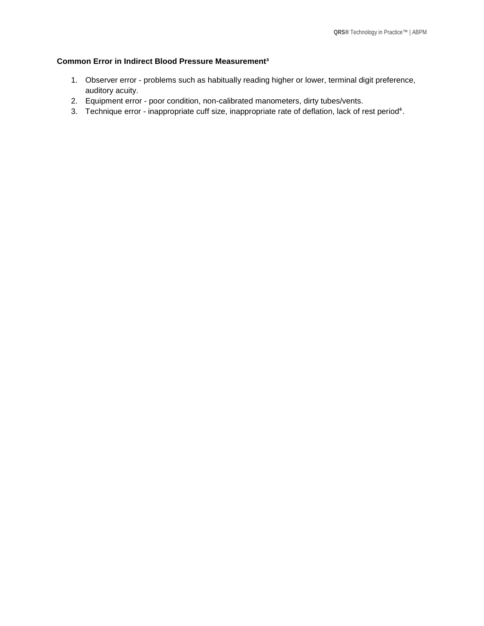## **Common Error in Indirect Blood Pressure Measurement³**

- 1. Observer error problems such as habitually reading higher or lower, terminal digit preference, auditory acuity.
- 2. Equipment error poor condition, non-calibrated manometers, dirty tubes/vents.
- 3. Technique error inappropriate cuff size, inappropriate rate of deflation, lack of rest period<sup>4</sup>.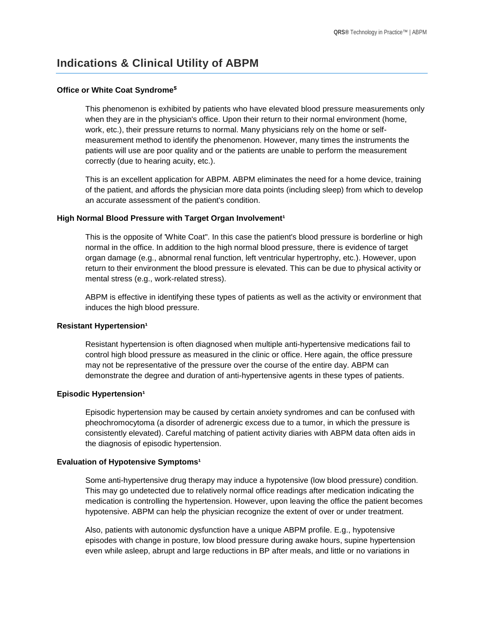# **Indications & Clinical Utility of ABPM**

#### **Office or White Coat Syndrome**<sup>5</sup>

This phenomenon is exhibited by patients who have elevated blood pressure measurements only when they are in the physician's office. Upon their return to their normal environment (home, work, etc.), their pressure returns to normal. Many physicians rely on the home or selfmeasurement method to identify the phenomenon. However, many times the instruments the patients will use are poor quality and or the patients are unable to perform the measurement correctly (due to hearing acuity, etc.).

This is an excellent application for ABPM. ABPM eliminates the need for a home device, training of the patient, and affords the physician more data points (including sleep) from which to develop an accurate assessment of the patient's condition.

#### High Normal Blood Pressure with Target Organ Involvement<sup>1</sup>

This is the opposite of 'White Coat". In this case the patient's blood pressure is borderline or high normal in the office. In addition to the high normal blood pressure, there is evidence of target organ damage (e.g., abnormal renal function, left ventricular hypertrophy, etc.). However, upon return to their environment the blood pressure is elevated. This can be due to physical activity or mental stress (e.g., work-related stress).

ABPM is effective in identifying these types of patients as well as the activity or environment that induces the high blood pressure.

#### **Resistant Hypertension<sup>1</sup>**

Resistant hypertension is often diagnosed when multiple anti-hypertensive medications fail to control high blood pressure as measured in the clinic or office. Here again, the office pressure may not be representative of the pressure over the course of the entire day. ABPM can demonstrate the degree and duration of anti-hypertensive agents in these types of patients.

#### **Episodic Hypertension<sup>1</sup>**

Episodic hypertension may be caused by certain anxiety syndromes and can be confused with pheochromocytoma (a disorder of adrenergic excess due to a tumor, in which the pressure is consistently elevated). Careful matching of patient activity diaries with ABPM data often aids in the diagnosis of episodic hypertension.

#### **Evaluation of Hypotensive Symptoms<sup>1</sup>**

Some anti-hypertensive drug therapy may induce a hypotensive (low blood pressure) condition. This may go undetected due to relatively normal office readings after medication indicating the medication is controlling the hypertension. However, upon leaving the office the patient becomes hypotensive. ABPM can help the physician recognize the extent of over or under treatment.

Also, patients with autonomic dysfunction have a unique ABPM profile. E.g., hypotensive episodes with change in posture, low blood pressure during awake hours, supine hypertension even while asleep, abrupt and large reductions in BP after meals, and little or no variations in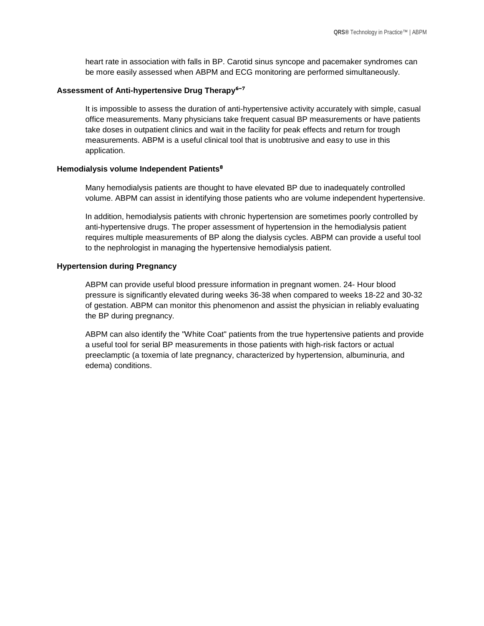heart rate in association with falls in BP. Carotid sinus syncope and pacemaker syndromes can be more easily assessed when ABPM and ECG monitoring are performed simultaneously.

#### Assessment of Anti-hypertensive Drug Therapy<sup>6-7</sup>

It is impossible to assess the duration of anti-hypertensive activity accurately with simple, casual office measurements. Many physicians take frequent casual BP measurements or have patients take doses in outpatient clinics and wait in the facility for peak effects and return for trough measurements. ABPM is a useful clinical tool that is unobtrusive and easy to use in this application.

#### **Hemodialysis volume Independent Patients<sup>8</sup>**

Many hemodialysis patients are thought to have elevated BP due to inadequately controlled volume. ABPM can assist in identifying those patients who are volume independent hypertensive.

In addition, hemodialysis patients with chronic hypertension are sometimes poorly controlled by anti-hypertensive drugs. The proper assessment of hypertension in the hemodialysis patient requires multiple measurements of BP along the dialysis cycles. ABPM can provide a useful tool to the nephrologist in managing the hypertensive hemodialysis patient.

#### **Hypertension during Pregnancy**

ABPM can provide useful blood pressure information in pregnant women. 24- Hour blood pressure is significantly elevated during weeks 36-38 when compared to weeks 18-22 and 30-32 of gestation. ABPM can monitor this phenomenon and assist the physician in reliably evaluating the BP during pregnancy.

ABPM can also identify the "White Coat" patients from the true hypertensive patients and provide a useful tool for serial BP measurements in those patients with high-risk factors or actual preeclamptic (a toxemia of late pregnancy, characterized by hypertension, albuminuria, and edema) conditions.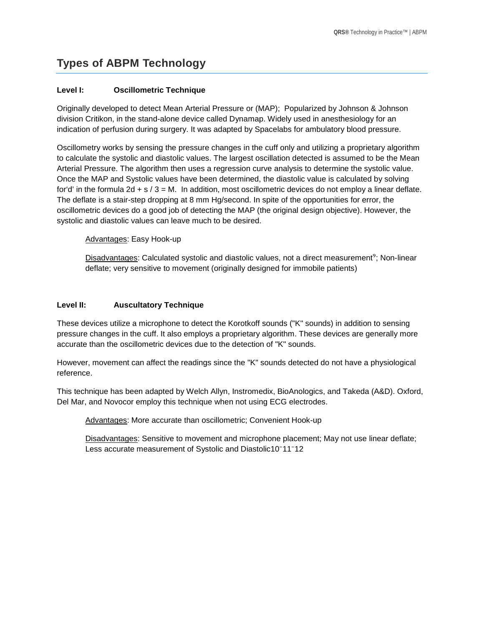# **Types of ABPM Technology**

### **Level I: Oscillometric Technique**

Originally developed to detect Mean Arterial Pressure or (MAP); Popularized by Johnson & Johnson division Critikon, in the stand-alone device called Dynamap. Widely used in anesthesiology for an indication of perfusion during surgery. It was adapted by Spacelabs for ambulatory blood pressure.

Oscillometry works by sensing the pressure changes in the cuff only and utilizing a proprietary algorithm to calculate the systolic and diastolic values. The largest oscillation detected is assumed to be the Mean Arterial Pressure. The algorithm then uses a regression curve analysis to determine the systolic value. Once the MAP and Systolic values have been determined, the diastolic value is calculated by solving for'd' in the formula 2d + s / 3 = M. In addition, most oscillometric devices do not employ a linear deflate. The deflate is a stair-step dropping at 8 mm Hg/second. In spite of the opportunities for error, the oscillometric devices do a good job of detecting the MAP (the original design objective). However, the systolic and diastolic values can leave much to be desired.

Advantages: Easy Hook-up

Disadvantages: Calculated systolic and diastolic values, not a direct measurement<sup>9</sup>; Non-linear deflate; very sensitive to movement (originally designed for immobile patients)

### **Level II: Auscultatory Technique**

These devices utilize a microphone to detect the Korotkoff sounds ("K" sounds) in addition to sensing pressure changes in the cuff. It also employs a proprietary algorithm. These devices are generally more accurate than the oscillometric devices due to the detection of "K" sounds.

However, movement can affect the readings since the "K" sounds detected do not have a physiological reference.

This technique has been adapted by Welch Allyn, Instromedix, BioAnologics, and Takeda (A&D). Oxford, Del Mar, and Novocor employ this technique when not using ECG electrodes.

Advantages: More accurate than oscillometric; Convenient Hook-up

Disadvantages: Sensitive to movement and microphone placement; May not use linear deflate; Less accurate measurement of Systolic and Diastolic10<sup>-</sup>11<sup>-12</sup>